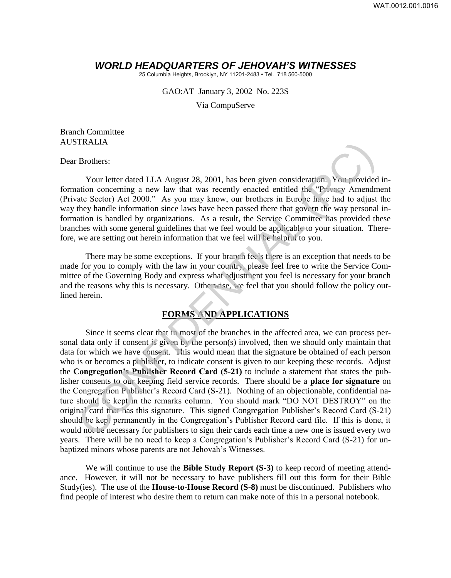## *WORLD HEADQUARTERS OF JEHOVAH'S WITNESSES*

25 Columbia Heights, Brooklyn, NY 11201-2483 • Tel. 718 560-5000

GAO:AT January 3, 2002 No. 223S

Via CompuServe

Branch Committee AUSTRALIA

Dear Brothers:

Your letter dated LLA August 28, 2001, has been given consideration. You provided information concerning a new law that was recently enacted entitled the "Privacy Amendment (Private Sector) Act 2000." As you may know, our brothers in Europe have had to adjust the way they handle information since laws have been passed there that govern the way personal information is handled by organizations. As a result, the Service Committee has provided these branches with some general guidelines that we feel would be applicable to your situation. Therefore, we are setting out herein information that we feel will be helpful to you.

There may be some exceptions. If your branch feels there is an exception that needs to be made for you to comply with the law in your country, please feel free to write the Service Committee of the Governing Body and express what adjustment you feel is necessary for your branch and the reasons why this is necessary. Otherwise, we feel that you should follow the policy outlined herein.

## **FORMS AND APPLICATIONS**

Since it seems clear that in most of the branches in the affected area, we can process personal data only if consent is given by the person(s) involved, then we should only maintain that data for which we have consent. This would mean that the signature be obtained of each person who is or becomes a publisher, to indicate consent is given to our keeping these records. Adjust the **Congregation's Publisher Record Card (5-21)** to include a statement that states the publisher consents to our keeping field service records. There should be a **place for signature** on the Congregation Publisher's Record Card (S-21). Nothing of an objectionable, confidential nature should be kept in the remarks column. You should mark "DO NOT DESTROY" on the original card that has this signature. This signed Congregation Publisher's Record Card (S-21) should be kept permanently in the Congregation's Publisher Record card file. If this is done, it would not be necessary for publishers to sign their cards each time a new one is issued every two years. There will be no need to keep a Congregation's Publisher's Record Card (S-21) for unbaptized minors whose parents are not Jehovah's Witnesses. FIRALIA<br>
Forcines:<br>
Your letter dated LLA August 28, 2001, has been given consideration You provided<br>
atation concerning a new law that was recently enacted entitled the "Phroney Amendment<br>
atate Sector) Act 2000," As you

We will continue to use the **Bible Study Report (S-3)** to keep record of meeting attendance. However, it will not be necessary to have publishers fill out this form for their Bible Study(ies). The use of the **House-to-House Record (S-8)** must be discontinued. Publishers who find people of interest who desire them to return can make note of this in a personal notebook.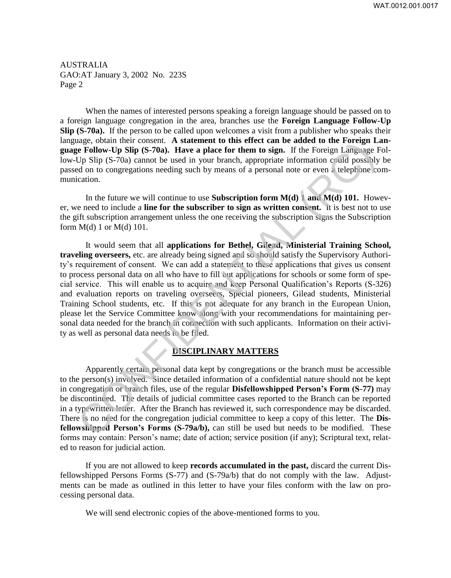AUSTRALIA GAO:AT January 3, 2002 No. 223S Page 2

When the names of interested persons speaking a foreign language should be passed on to a foreign language congregation in the area, branches use the **Foreign Language Follow-Up Slip (S-70a).** If the person to be called upon welcomes a visit from a publisher who speaks their language, obtain their consent. A statement to this effect can be added to the Foreign Lan**guage Follow-Up Slip (S-70a). Have a place for them to sign.** If the Foreign Language Follow-Up Slip (S-70a) cannot be used in your branch, appropriate information could possibly be passed on to congregations needing such by means of a personal note or even a telephone communication.

In the future we will continue to use **Subscription form M(d) 1 and M(d) 101.** However, we need to include a **line for the subscriber to sign as written consent.** It is best not to use the gift subscription arrangement unless the one receiving the subscription signs the Subscription form  $M(d) 1$  or  $M(d) 101$ .

It would seem that all **applications for Bethel, Gilead, Ministerial Training School, traveling overseers,** etc. are already being signed and so should satisfy the Supervisory Authority's requirement of consent. We can add a statement to these applications that gives us consent to process personal data on all who have to fill out applications for schools or some form of special service. This will enable us to acquire and keep Personal Qualification's Reports (S-326) and evaluation reports on traveling overseers, Special pioneers, Gilead students, Ministerial Training School students, etc. If this is not adequate for any branch in the European Union, please let the Service Committee know along with your recommendations for maintaining personal data needed for the branch in connection with such applicants. Information on their activity as well as personal data needs to be filed. angle, obtain the consellation and who have to fill our select can be added to the foreign Langle<br>(E) END SUP (S-70a). Have a place for them to sign. If the Foreign Langlegne Follow-Up SIip (S-70a) cannot be used in your b

## **DISCIPLINARY MATTERS**

Apparently certain personal data kept by congregations or the branch must be accessible to the person(s) involved. Since detailed information of a confidential nature should not be kept in congregation or branch files, use of the regular **Disfellowshipped Person's Form (S**-**77)** may be discontinued. The details of judicial committee cases reported to the Branch can be reported in a typewritten letter. After the Branch has reviewed it, such correspondence may be discarded. There is no need for the congregation judicial committee to keep a copy of this letter. The **Disfellowshipped Person's Forms (S-79a/b),** can still be used but needs to be modified. These forms may contain: Person's name; date of action; service position (if any); Scriptural text, related to reason for judicial action.

If you are not allowed to keep **records accumulated in the past,** discard the current Disfellowshipped Persons Forms (S-77) and (S-79a/b) that do not comply with the law. Adjustments can be made as outlined in this letter to have your files conform with the law on processing personal data.

We will send electronic copies of the above-mentioned forms to you.